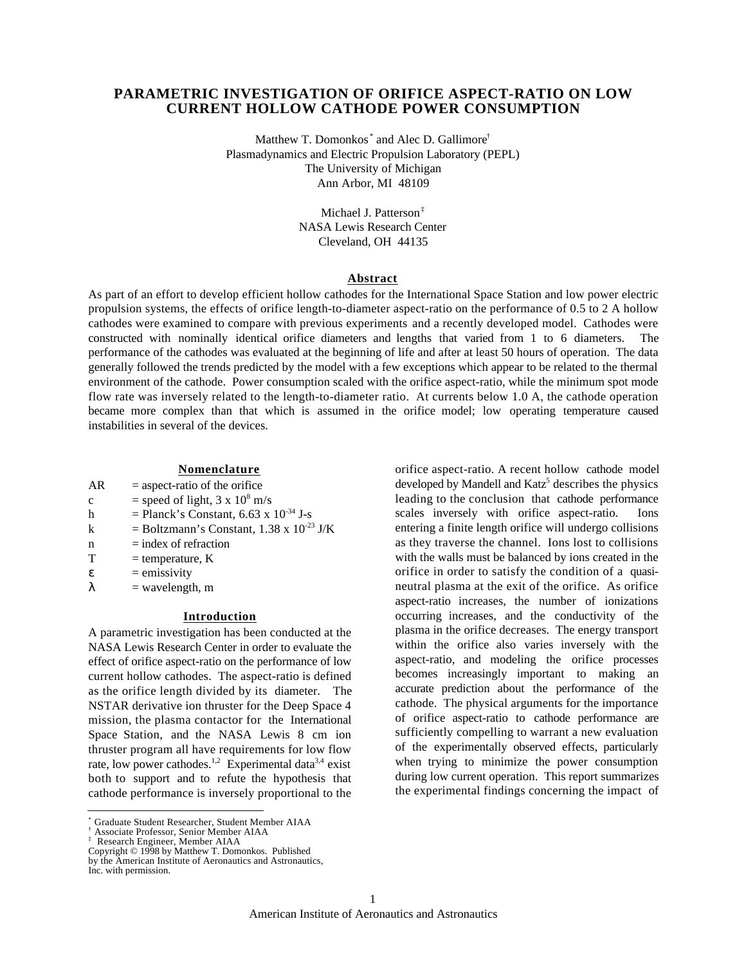# **PARAMETRIC INVESTIGATION OF ORIFICE ASPECT-RATIO ON LOW CURRENT HOLLOW CATHODE POWER CONSUMPTION**

Matthew T. Domonkos<sup>\*</sup> and Alec D. Gallimore<sup>†</sup> Plasmadynamics and Electric Propulsion Laboratory (PEPL) The University of Michigan Ann Arbor, MI 48109

> Michael J. Patterson‡ NASA Lewis Research Center Cleveland, OH 44135

## **Abstract**

As part of an effort to develop efficient hollow cathodes for the International Space Station and low power electric propulsion systems, the effects of orifice length-to-diameter aspect-ratio on the performance of 0.5 to 2 A hollow cathodes were examined to compare with previous experiments and a recently developed model. Cathodes were constructed with nominally identical orifice diameters and lengths that varied from 1 to 6 diameters. The performance of the cathodes was evaluated at the beginning of life and after at least 50 hours of operation. The data generally followed the trends predicted by the model with a few exceptions which appear to be related to the thermal environment of the cathode. Power consumption scaled with the orifice aspect-ratio, while the minimum spot mode flow rate was inversely related to the length-to-diameter ratio. At currents below 1.0 A, the cathode operation became more complex than that which is assumed in the orifice model; low operating temperature caused instabilities in several of the devices.

> orifice aspect-ratio. A recent hollow cathode model developed by Mandell and Katz<sup>5</sup> describes the physics leading to the conclusion that cathode performance scales inversely with orifice aspect-ratio. Ions entering a finite length orifice will undergo collisions as they traverse the channel. Ions lost to collisions with the walls must be balanced by ions created in the orifice in order to satisfy the condition of a quasineutral plasma at the exit of the orifice. As orifice aspect-ratio increases, the number of ionizations occurring increases, and the conductivity of the plasma in the orifice decreases. The energy transport within the orifice also varies inversely with the aspect-ratio, and modeling the orifice processes becomes increasingly important to making an accurate prediction about the performance of the cathode. The physical arguments for the importance of orifice aspect-ratio to cathode performance are sufficiently compelling to warrant a new evaluation of the experimentally observed effects, particularly when trying to minimize the power consumption during low current operation. This report summarizes the experimental findings concerning the impact of

## **Nomenclature**

- $AR =$  aspect-ratio of the orifice
- c = speed of light,  $3 \times 10^8$  m/s
- h = Planck's Constant,  $6.63 \times 10^{-34}$  J-s
- k = Boltzmann's Constant,  $1.38 \times 10^{-23}$  J/K
- $n = index of refraction$
- $T =$  temperature, K
	- = emissivity
		- $=$  wavelength, m

## **Introduction**

A parametric investigation has been conducted at the NASA Lewis Research Center in order to evaluate the effect of orifice aspect-ratio on the performance of low current hollow cathodes. The aspect-ratio is defined as the orifice length divided by its diameter. The NSTAR derivative ion thruster for the Deep Space 4 mission, the plasma contactor for the International Space Station, and the NASA Lewis 8 cm ion thruster program all have requirements for low flow rate, low power cathodes.<sup>1,2</sup> Experimental data<sup>3,4</sup> exist both to support and to refute the hypothesis that cathode performance is inversely proportional to the

 $\overline{a}$ 

1

<sup>\*</sup> Graduate Student Researcher, Student Member AIAA

<sup>†</sup> Associate Professor, Senior Member AIAA

<sup>‡</sup> Research Engineer, Member AIAA

Copyright © 1998 by Matthew T. Domonkos. Published by the American Institute of Aeronautics and Astronautics,

Inc. with permission.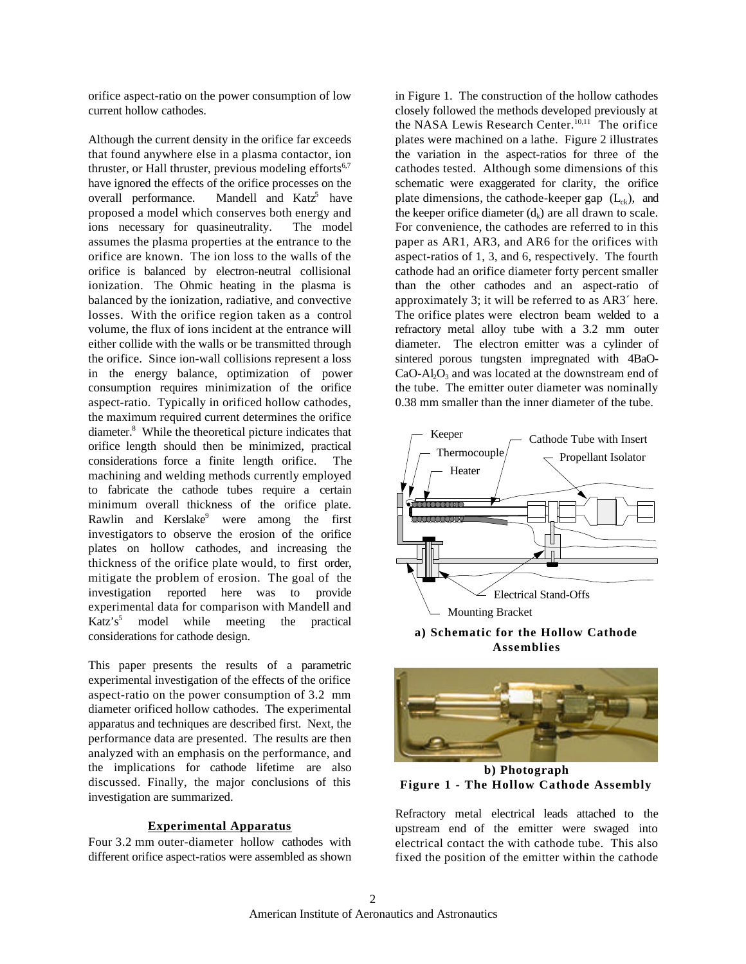orifice aspect-ratio on the power consumption of low current hollow cathodes.

Although the current density in the orifice far exceeds that found anywhere else in a plasma contactor, ion thruster, or Hall thruster, previous modeling efforts $6,7$ have ignored the effects of the orifice processes on the overall performance. Mandell and Katz<sup>5</sup> have proposed a model which conserves both energy and ions necessary for quasineutrality. The model assumes the plasma properties at the entrance to the orifice are known. The ion loss to the walls of the orifice is balanced by electron-neutral collisional ionization. The Ohmic heating in the plasma is balanced by the ionization, radiative, and convective losses. With the orifice region taken as a control volume, the flux of ions incident at the entrance will either collide with the walls or be transmitted through the orifice. Since ion-wall collisions represent a loss in the energy balance, optimization of power consumption requires minimization of the orifice aspect-ratio. Typically in orificed hollow cathodes, the maximum required current determines the orifice diameter.<sup>8</sup> While the theoretical picture indicates that orifice length should then be minimized, practical considerations force a finite length orifice. The machining and welding methods currently employed to fabricate the cathode tubes require a certain minimum overall thickness of the orifice plate. Rawlin and Kerslake<sup>9</sup> were among the first investigators to observe the erosion of the orifice plates on hollow cathodes, and increasing the thickness of the orifice plate would, to first order, mitigate the problem of erosion. The goal of the investigation reported here was to provide experimental data for comparison with Mandell and  $Katz's<sup>5</sup>$  model while meeting the practical considerations for cathode design.

This paper presents the results of a parametric experimental investigation of the effects of the orifice aspect-ratio on the power consumption of 3.2 mm diameter orificed hollow cathodes. The experimental apparatus and techniques are described first. Next, the performance data are presented. The results are then analyzed with an emphasis on the performance, and the implications for cathode lifetime are also discussed. Finally, the major conclusions of this investigation are summarized.

### **Experimental Apparatus**

Four 3.2 mm outer-diameter hollow cathodes with different orifice aspect-ratios were assembled as shown in Figure 1. The construction of the hollow cathodes closely followed the methods developed previously at the NASA Lewis Research Center.<sup>10,11</sup> The orifice plates were machined on a lathe. Figure 2 illustrates the variation in the aspect-ratios for three of the cathodes tested. Although some dimensions of this schematic were exaggerated for clarity, the orifice plate dimensions, the cathode-keeper gap  $(L<sub>x</sub>)$ , and the keeper orifice diameter  $(d_k)$  are all drawn to scale. For convenience, the cathodes are referred to in this paper as AR1, AR3, and AR6 for the orifices with aspect-ratios of 1, 3, and 6, respectively. The fourth cathode had an orifice diameter forty percent smaller than the other cathodes and an aspect-ratio of approximately 3; it will be referred to as AR3´ here. The orifice plates were electron beam welded to a refractory metal alloy tube with a 3.2 mm outer diameter. The electron emitter was a cylinder of sintered porous tungsten impregnated with 4BaO- $CaO-Al<sub>2</sub>O<sub>3</sub>$  and was located at the downstream end of the tube. The emitter outer diameter was nominally 0.38 mm smaller than the inner diameter of the tube.



**a) Schematic for the Hollow Cathode Assemblies**



**b) Photograph Figure 1 - The Hollow Cathode Assembly**

Refractory metal electrical leads attached to the upstream end of the emitter were swaged into electrical contact the with cathode tube. This also fixed the position of the emitter within the cathode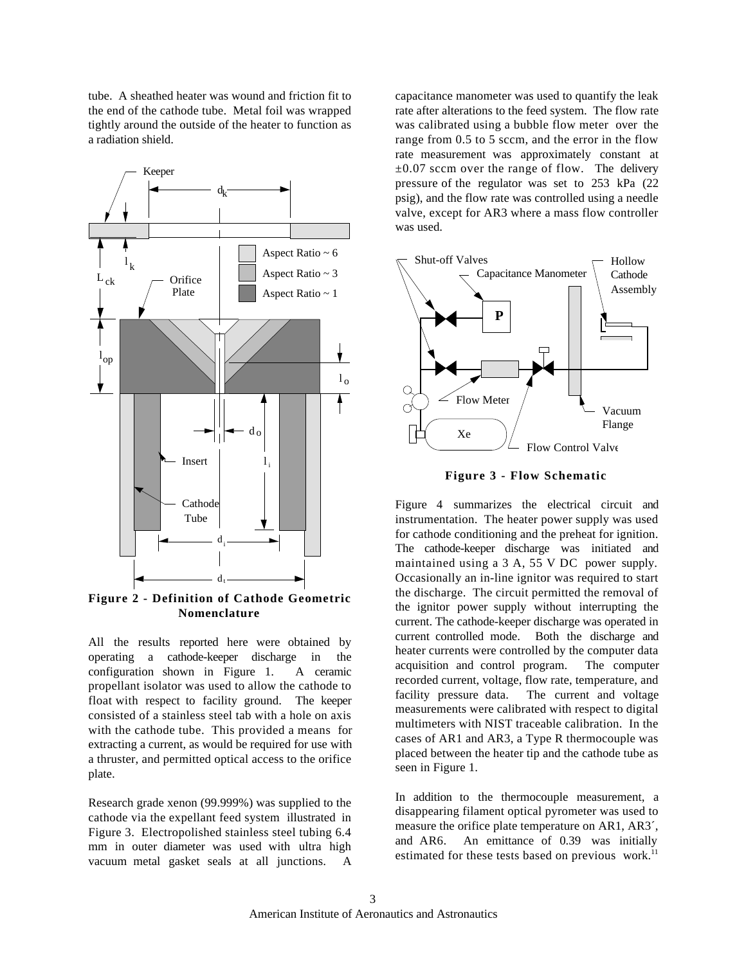tube. A sheathed heater was wound and friction fit to the end of the cathode tube. Metal foil was wrapped tightly around the outside of the heater to function as a radiation shield.



**Figure 2 - Definition of Cathode Geometric Nomenclature**

All the results reported here were obtained by operating a cathode-keeper discharge in the configuration shown in Figure 1. A ceramic propellant isolator was used to allow the cathode to float with respect to facility ground. The keeper consisted of a stainless steel tab with a hole on axis with the cathode tube. This provided a means for extracting a current, as would be required for use with a thruster, and permitted optical access to the orifice plate.

Research grade xenon (99.999%) was supplied to the cathode via the expellant feed system illustrated in Figure 3. Electropolished stainless steel tubing 6.4 mm in outer diameter was used with ultra high vacuum metal gasket seals at all junctions. A

capacitance manometer was used to quantify the leak rate after alterations to the feed system. The flow rate was calibrated using a bubble flow meter over the range from 0.5 to 5 sccm, and the error in the flow rate measurement was approximately constant at  $\pm 0.07$  sccm over the range of flow. The delivery pressure of the regulator was set to 253 kPa (22 psig), and the flow rate was controlled using a needle valve, except for AR3 where a mass flow controller was used.





Figure 4 summarizes the electrical circuit and instrumentation. The heater power supply was used for cathode conditioning and the preheat for ignition. The cathode-keeper discharge was initiated and maintained using a 3 A, 55 V DC power supply. Occasionally an in-line ignitor was required to start the discharge. The circuit permitted the removal of the ignitor power supply without interrupting the current. The cathode-keeper discharge was operated in current controlled mode. Both the discharge and heater currents were controlled by the computer data acquisition and control program. The computer recorded current, voltage, flow rate, temperature, and facility pressure data. The current and voltage measurements were calibrated with respect to digital multimeters with NIST traceable calibration. In the cases of AR1 and AR3, a Type R thermocouple was placed between the heater tip and the cathode tube as seen in Figure 1.

In addition to the thermocouple measurement, a disappearing filament optical pyrometer was used to measure the orifice plate temperature on AR1, AR3´, and AR6. An emittance of 0.39 was initially estimated for these tests based on previous work.<sup>11</sup>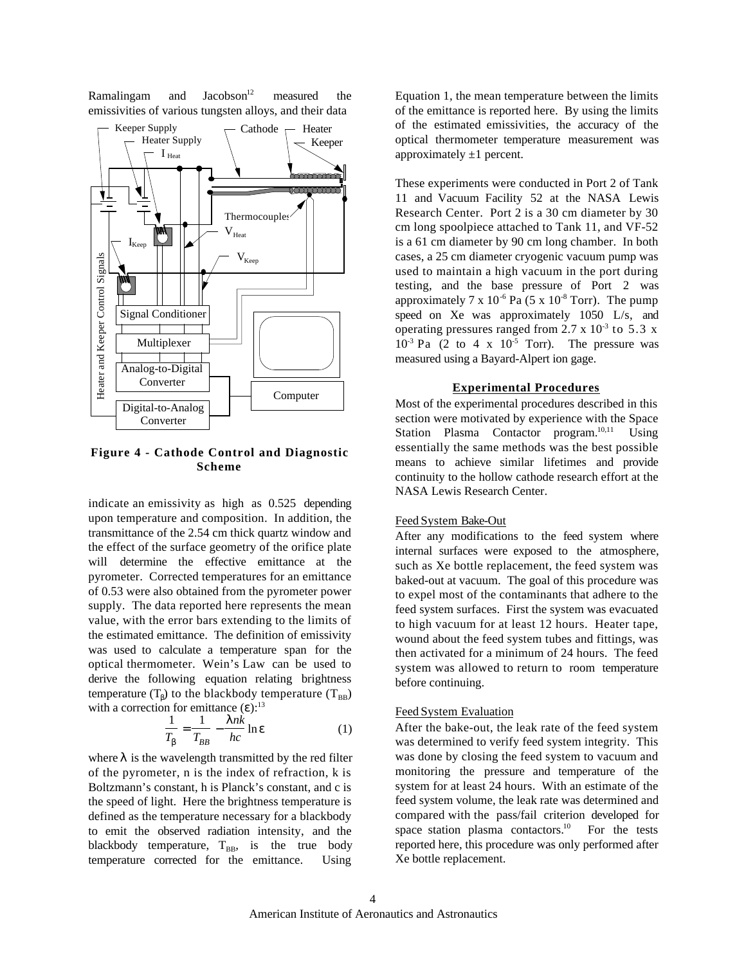Ramalingam and Jacobson<sup>12</sup> measured the emissivities of various tungsten alloys, and their data



**Figure 4 - Cathode Control and Diagnostic Scheme**

indicate an emissivity as high as 0.525 depending upon temperature and composition. In addition, the transmittance of the 2.54 cm thick quartz window and the effect of the surface geometry of the orifice plate will determine the effective emittance at the pyrometer. Corrected temperatures for an emittance of 0.53 were also obtained from the pyrometer power supply. The data reported here represents the mean value, with the error bars extending to the limits of the estimated emittance. The definition of emissivity was used to calculate a temperature span for the optical thermometer. Wein's Law can be used to derive the following equation relating brightness temperature (T) to the blackbody temperature  $(T_{BB})$ with a correction for emittance  $( )$ :<sup>13</sup>

$$
\frac{1}{T} = \frac{1}{T_{BB}} - \frac{nk}{hc} \ln \tag{1}
$$

where is the wavelength transmitted by the red filter of the pyrometer, n is the index of refraction, k is Boltzmann's constant, h is Planck's constant, and c is the speed of light. Here the brightness temperature is defined as the temperature necessary for a blackbody to emit the observed radiation intensity, and the blackbody temperature,  $T_{BB}$ , is the true body temperature corrected for the emittance. Using

Equation 1, the mean temperature between the limits of the emittance is reported here. By using the limits of the estimated emissivities, the accuracy of the optical thermometer temperature measurement was approximately  $\pm 1$  percent.

These experiments were conducted in Port 2 of Tank 11 and Vacuum Facility 52 at the NASA Lewis Research Center. Port 2 is a 30 cm diameter by 30 cm long spoolpiece attached to Tank 11, and VF-52 is a 61 cm diameter by 90 cm long chamber. In both cases, a 25 cm diameter cryogenic vacuum pump was used to maintain a high vacuum in the port during testing, and the base pressure of Port 2 was approximately 7 x  $10^{-6}$  Pa (5 x  $10^{-8}$  Torr). The pump speed on Xe was approximately 1050 L/s, and operating pressures ranged from 2.7 x  $10^{-3}$  to 5.3 x  $10^{-3}$  Pa (2 to 4 x  $10^{-5}$  Torr). The pressure was measured using a Bayard-Alpert ion gage.

#### **Experimental Procedures**

Most of the experimental procedures described in this section were motivated by experience with the Space Station Plasma Contactor program.<sup>10,11</sup> Using essentially the same methods was the best possible means to achieve similar lifetimes and provide continuity to the hollow cathode research effort at the NASA Lewis Research Center.

### Feed System Bake-Out

After any modifications to the feed system where internal surfaces were exposed to the atmosphere, such as Xe bottle replacement, the feed system was baked-out at vacuum. The goal of this procedure was to expel most of the contaminants that adhere to the feed system surfaces. First the system was evacuated to high vacuum for at least 12 hours. Heater tape, wound about the feed system tubes and fittings, was then activated for a minimum of 24 hours. The feed system was allowed to return to room temperature before continuing.

## Feed System Evaluation

After the bake-out, the leak rate of the feed system was determined to verify feed system integrity. This was done by closing the feed system to vacuum and monitoring the pressure and temperature of the system for at least 24 hours. With an estimate of the feed system volume, the leak rate was determined and compared with the pass/fail criterion developed for space station plasma contactors.<sup>10</sup> For the tests reported here, this procedure was only performed after Xe bottle replacement.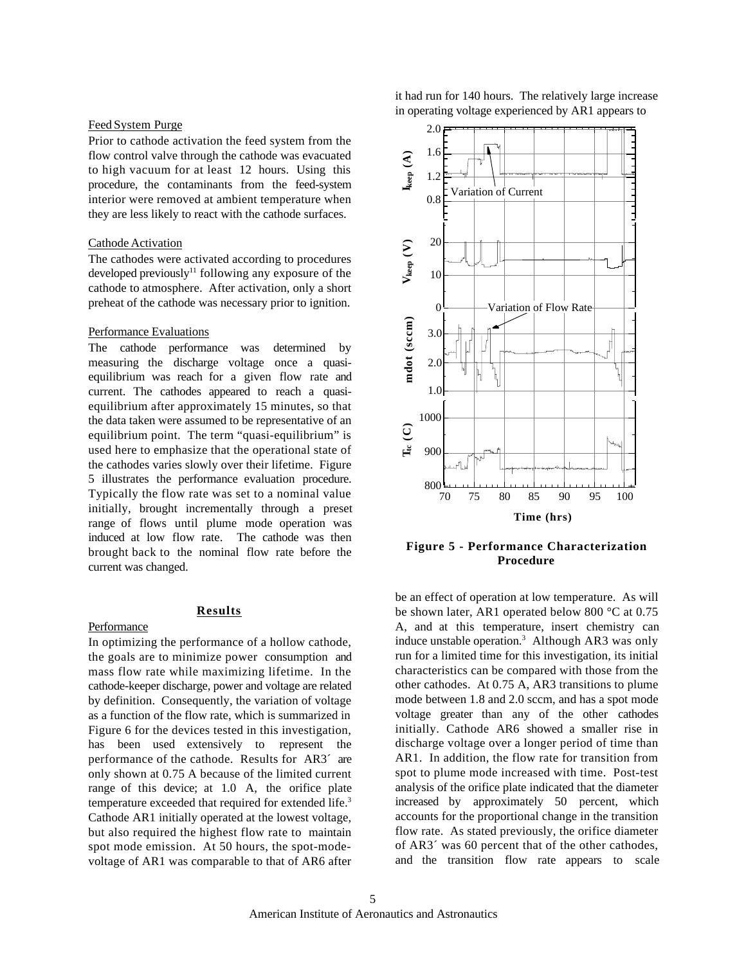#### Feed System Purge

Prior to cathode activation the feed system from the flow control valve through the cathode was evacuated to high vacuum for at least 12 hours. Using this procedure, the contaminants from the feed-system interior were removed at ambient temperature when they are less likely to react with the cathode surfaces.

#### Cathode Activation

The cathodes were activated according to procedures developed previously<sup>11</sup> following any exposure of the cathode to atmosphere. After activation, only a short preheat of the cathode was necessary prior to ignition.

### Performance Evaluations

The cathode performance was determined by measuring the discharge voltage once a quasiequilibrium was reach for a given flow rate and current. The cathodes appeared to reach a quasiequilibrium after approximately 15 minutes, so that the data taken were assumed to be representative of an equilibrium point. The term "quasi-equilibrium" is used here to emphasize that the operational state of the cathodes varies slowly over their lifetime. Figure 5 illustrates the performance evaluation procedure. Typically the flow rate was set to a nominal value initially, brought incrementally through a preset range of flows until plume mode operation was induced at low flow rate. The cathode was then brought back to the nominal flow rate before the current was changed.

## **Results**

### Performance

In optimizing the performance of a hollow cathode, the goals are to minimize power consumption and mass flow rate while maximizing lifetime. In the cathode-keeper discharge, power and voltage are related by definition. Consequently, the variation of voltage as a function of the flow rate, which is summarized in Figure 6 for the devices tested in this investigation, has been used extensively to represent the performance of the cathode. Results for AR3´ are only shown at 0.75 A because of the limited current range of this device; at 1.0 A, the orifice plate temperature exceeded that required for extended life.<sup>3</sup> Cathode AR1 initially operated at the lowest voltage, but also required the highest flow rate to maintain spot mode emission. At 50 hours, the spot-modevoltage of AR1 was comparable to that of AR6 after

it had run for 140 hours. The relatively large increase in operating voltage experienced by AR1 appears to



**Figure 5 - Performance Characterization Procedure**

be an effect of operation at low temperature. As will be shown later, AR1 operated below 800 °C at 0.75 A, and at this temperature, insert chemistry can induce unstable operation.<sup>3</sup> Although AR3 was only run for a limited time for this investigation, its initial characteristics can be compared with those from the other cathodes. At 0.75 A, AR3 transitions to plume mode between 1.8 and 2.0 sccm, and has a spot mode voltage greater than any of the other cathodes initially. Cathode AR6 showed a smaller rise in discharge voltage over a longer period of time than AR1. In addition, the flow rate for transition from spot to plume mode increased with time. Post-test analysis of the orifice plate indicated that the diameter increased by approximately 50 percent, which accounts for the proportional change in the transition flow rate. As stated previously, the orifice diameter of AR3´ was 60 percent that of the other cathodes, and the transition flow rate appears to scale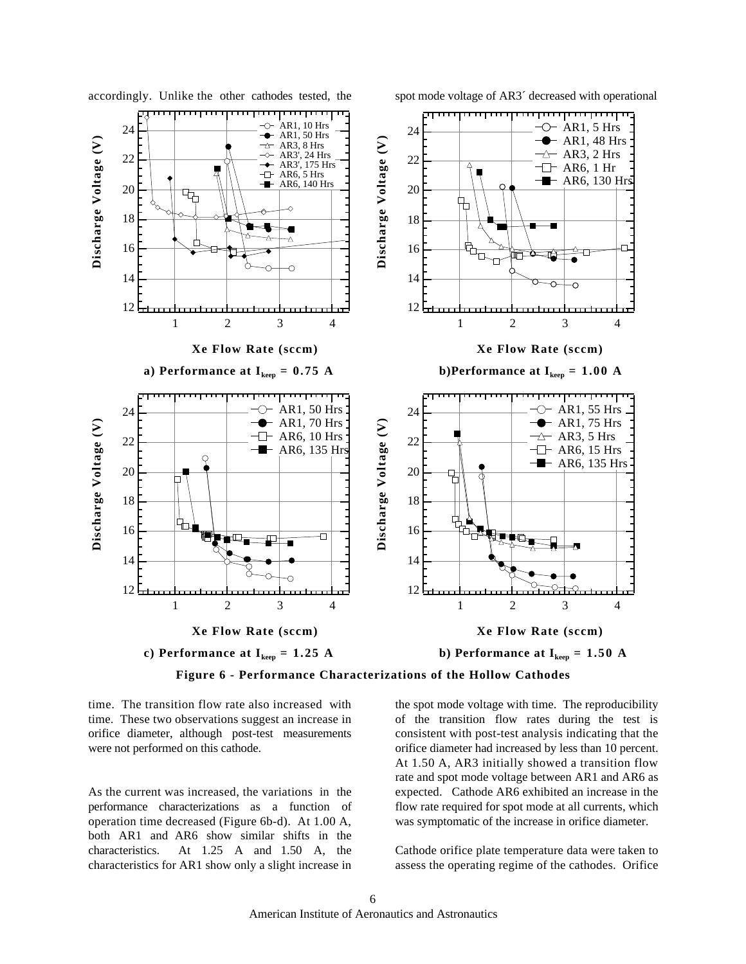

accordingly. Unlike the other cathodes tested, the spot mode voltage of AR3<sup> $\cdot$ </sup> decreased with operational

**Figure 6 - Performance Characterizations of the Hollow Cathodes**

time. The transition flow rate also increased with time. These two observations suggest an increase in orifice diameter, although post-test measurements were not performed on this cathode.

As the current was increased, the variations in the performance characterizations as a function of operation time decreased (Figure 6b-d). At 1.00 A, both AR1 and AR6 show similar shifts in the characteristics. At 1.25 A and 1.50 A, the characteristics for AR1 show only a slight increase in

the spot mode voltage with time. The reproducibility of the transition flow rates during the test is consistent with post-test analysis indicating that the orifice diameter had increased by less than 10 percent. At 1.50 A, AR3 initially showed a transition flow rate and spot mode voltage between AR1 and AR6 as expected. Cathode AR6 exhibited an increase in the flow rate required for spot mode at all currents, which was symptomatic of the increase in orifice diameter.

Cathode orifice plate temperature data were taken to assess the operating regime of the cathodes. Orifice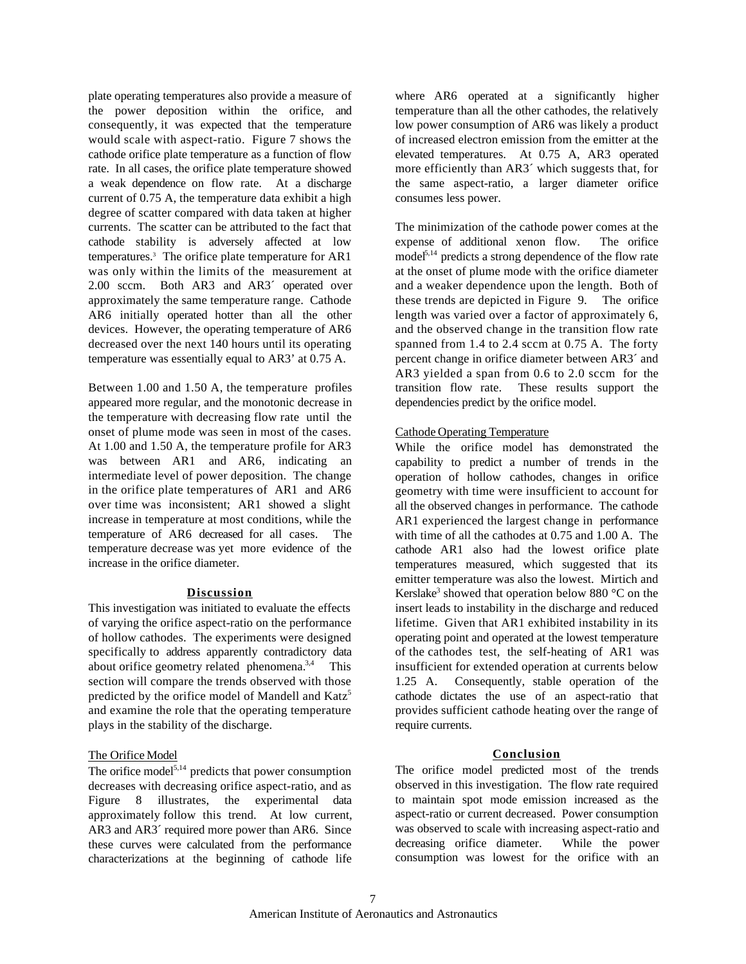plate operating temperatures also provide a measure of the power deposition within the orifice, and consequently, it was expected that the temperature would scale with aspect-ratio. Figure 7 shows the cathode orifice plate temperature as a function of flow rate. In all cases, the orifice plate temperature showed a weak dependence on flow rate. At a discharge current of 0.75 A, the temperature data exhibit a high degree of scatter compared with data taken at higher currents. The scatter can be attributed to the fact that cathode stability is adversely affected at low temperatures.<sup>3</sup> The orifice plate temperature for AR1 was only within the limits of the measurement at 2.00 sccm. Both AR3 and AR3´ operated over approximately the same temperature range. Cathode AR6 initially operated hotter than all the other devices. However, the operating temperature of AR6 decreased over the next 140 hours until its operating temperature was essentially equal to AR3' at 0.75 A.

Between 1.00 and 1.50 A, the temperature profiles appeared more regular, and the monotonic decrease in the temperature with decreasing flow rate until the onset of plume mode was seen in most of the cases. At 1.00 and 1.50 A, the temperature profile for AR3 was between AR1 and AR6, indicating an intermediate level of power deposition. The change in the orifice plate temperatures of AR1 and AR6 over time was inconsistent; AR1 showed a slight increase in temperature at most conditions, while the temperature of AR6 decreased for all cases. The temperature decrease was yet more evidence of the increase in the orifice diameter.

# **Discussion**

This investigation was initiated to evaluate the effects of varying the orifice aspect-ratio on the performance of hollow cathodes. The experiments were designed specifically to address apparently contradictory data about orifice geometry related phenomena.<sup>3,4</sup> This section will compare the trends observed with those predicted by the orifice model of Mandell and Katz<sup>5</sup> and examine the role that the operating temperature plays in the stability of the discharge.

## The Orifice Model

The orifice model<sup>5,14</sup> predicts that power consumption decreases with decreasing orifice aspect-ratio, and as Figure 8 illustrates, the experimental data approximately follow this trend. At low current, AR3 and AR3´ required more power than AR6. Since these curves were calculated from the performance characterizations at the beginning of cathode life

where AR6 operated at a significantly higher temperature than all the other cathodes, the relatively low power consumption of AR6 was likely a product of increased electron emission from the emitter at the elevated temperatures. At 0.75 A, AR3 operated more efficiently than AR3´ which suggests that, for the same aspect-ratio, a larger diameter orifice consumes less power.

The minimization of the cathode power comes at the expense of additional xenon flow. The orifice  $model<sup>5,14</sup>$  predicts a strong dependence of the flow rate at the onset of plume mode with the orifice diameter and a weaker dependence upon the length. Both of these trends are depicted in Figure 9. The orifice length was varied over a factor of approximately 6, and the observed change in the transition flow rate spanned from 1.4 to 2.4 sccm at 0.75 A. The forty percent change in orifice diameter between AR3´ and AR3 yielded a span from 0.6 to 2.0 sccm for the transition flow rate. These results support the dependencies predict by the orifice model.

## Cathode Operating Temperature

While the orifice model has demonstrated the capability to predict a number of trends in the operation of hollow cathodes, changes in orifice geometry with time were insufficient to account for all the observed changes in performance. The cathode AR1 experienced the largest change in performance with time of all the cathodes at 0.75 and 1.00 A. The cathode AR1 also had the lowest orifice plate temperatures measured, which suggested that its emitter temperature was also the lowest. Mirtich and Kerslake<sup>3</sup> showed that operation below 880  $^{\circ}$ C on the insert leads to instability in the discharge and reduced lifetime. Given that AR1 exhibited instability in its operating point and operated at the lowest temperature of the cathodes test, the self-heating of AR1 was insufficient for extended operation at currents below 1.25 A. Consequently, stable operation of the cathode dictates the use of an aspect-ratio that provides sufficient cathode heating over the range of require currents.

## **Conclusion**

The orifice model predicted most of the trends observed in this investigation. The flow rate required to maintain spot mode emission increased as the aspect-ratio or current decreased. Power consumption was observed to scale with increasing aspect-ratio and decreasing orifice diameter. While the power consumption was lowest for the orifice with an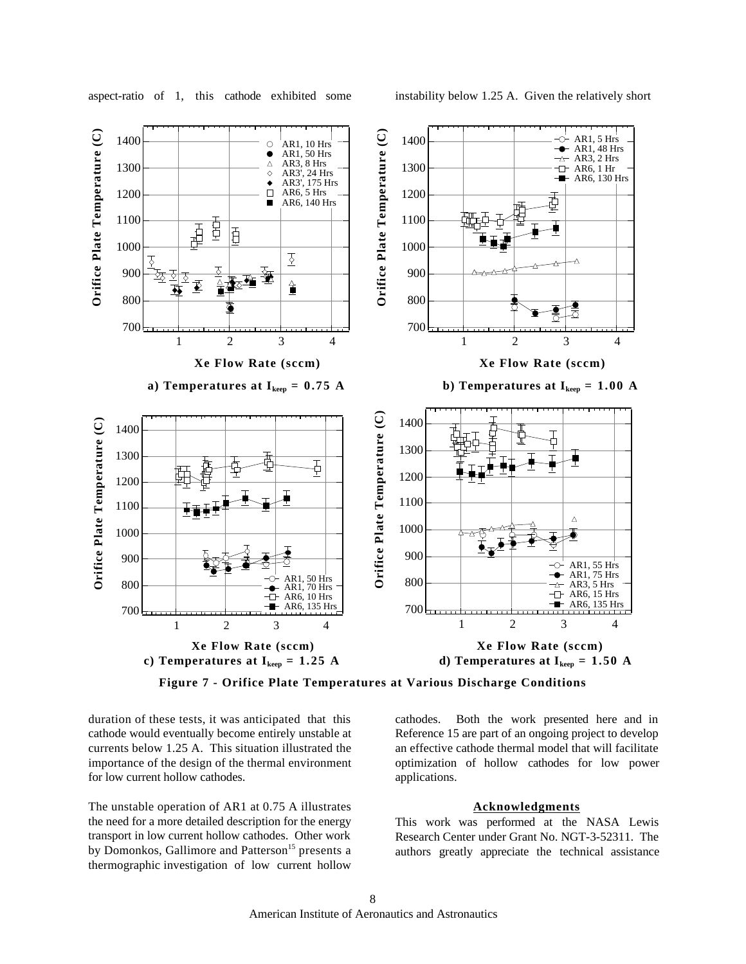



**Figure 7 - Orifice Plate Temperatures at Various Discharge Conditions**

duration of these tests, it was anticipated that this cathode would eventually become entirely unstable at currents below 1.25 A. This situation illustrated the importance of the design of the thermal environment for low current hollow cathodes.

The unstable operation of AR1 at 0.75 A illustrates the need for a more detailed description for the energy transport in low current hollow cathodes. Other work by Domonkos, Gallimore and Patterson<sup>15</sup> presents a thermographic investigation of low current hollow cathodes. Both the work presented here and in Reference 15 are part of an ongoing project to develop an effective cathode thermal model that will facilitate optimization of hollow cathodes for low power applications.

# **Acknowledgments**

This work was performed at the NASA Lewis Research Center under Grant No. NGT-3-52311. The authors greatly appreciate the technical assistance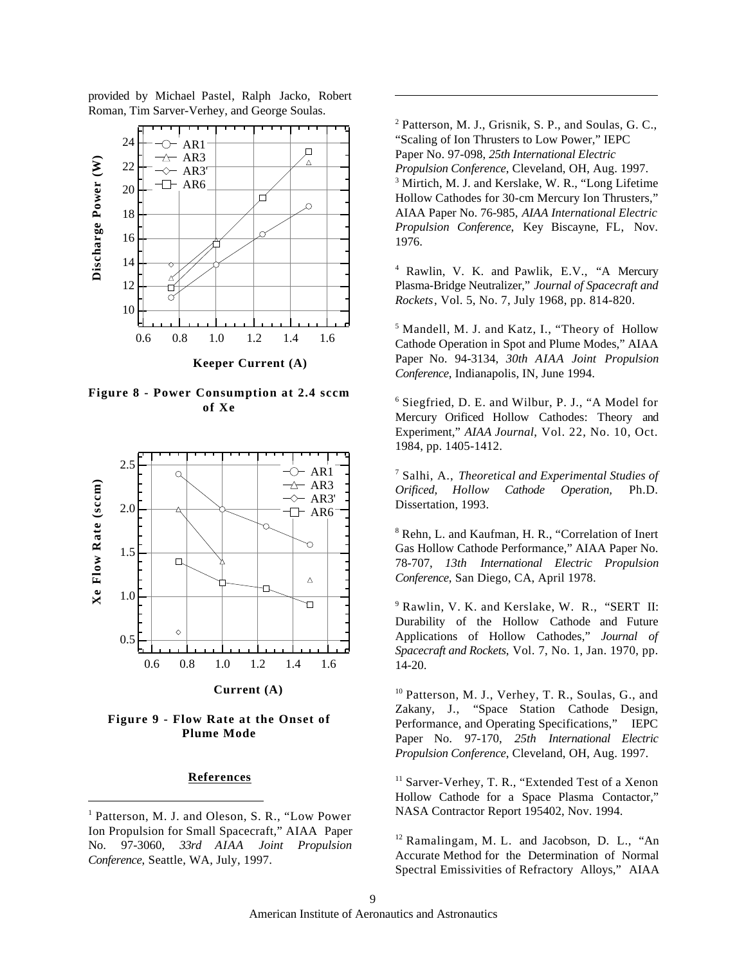provided by Michael Pastel, Ralph Jacko, Robert Roman, Tim Sarver-Verhey, and George Soulas.



**Figure 8 - Power Consumption at 2.4 sccm of Xe**



**Current (A)**

# **Figure 9 - Flow Rate at the Onset of Plume Mode**

## **References**

 $\overline{a}$ 

<sup>2</sup> Patterson, M. J., Grisnik, S. P., and Soulas, G. C., "Scaling of Ion Thrusters to Low Power," IEPC Paper No. 97-098, *25th International Electric Propulsion Conference*, Cleveland, OH, Aug. 1997. <sup>3</sup> Mirtich, M. J. and Kerslake, W. R., "Long Lifetime Hollow Cathodes for 30-cm Mercury Ion Thrusters," AIAA Paper No. 76-985, *AIAA International Electric Propulsion Conference*, Key Biscayne, FL, Nov. 1976.

 $\overline{a}$ 

<sup>4</sup> Rawlin, V. K. and Pawlik, E.V., "A Mercury Plasma-Bridge Neutralizer," *Journal of Spacecraft and Rockets*, Vol. 5, No. 7, July 1968, pp. 814-820.

<sup>5</sup> Mandell, M. J. and Katz, I., "Theory of Hollow Cathode Operation in Spot and Plume Modes," AIAA Paper No. 94-3134, *30th AIAA Joint Propulsion Conference*, Indianapolis, IN, June 1994.

6 Siegfried, D. E. and Wilbur, P. J., "A Model for Mercury Orificed Hollow Cathodes: Theory and Experiment," *AIAA Journal*, Vol. 22, No. 10, Oct. 1984, pp. 1405-1412.

7 Salhi, A., *Theoretical and Experimental Studies of Orificed, Hollow Cathode Operation,* Ph.D. Dissertation, 1993.

8 Rehn, L. and Kaufman, H. R., "Correlation of Inert Gas Hollow Cathode Performance," AIAA Paper No. 78-707, *13th International Electric Propulsion Conference*, San Diego, CA, April 1978.

9 Rawlin, V. K. and Kerslake, W. R., "SERT II: Durability of the Hollow Cathode and Future Applications of Hollow Cathodes," *Journal of Spacecraft and Rockets*, Vol. 7, No. 1, Jan. 1970, pp. 14-20.

<sup>10</sup> Patterson, M. J., Verhey, T. R., Soulas, G., and Zakany, J., "Space Station Cathode Design, Performance, and Operating Specifications," IEPC Paper No. 97-170, *25th International Electric Propulsion Conference*, Cleveland, OH, Aug. 1997.

<sup>11</sup> Sarver-Verhey, T. R., "Extended Test of a Xenon Hollow Cathode for a Space Plasma Contactor," NASA Contractor Report 195402, Nov. 1994.

 $12$  Ramalingam, M. L. and Jacobson, D. L., "An Accurate Method for the Determination of Normal Spectral Emissivities of Refractory Alloys," AIAA

<sup>&</sup>lt;sup>1</sup> Patterson, M. J. and Oleson, S. R., "Low Power Ion Propulsion for Small Spacecraft," AIAA Paper No. 97-3060, *33rd AIAA Joint Propulsion Conference*, Seattle, WA, July, 1997.